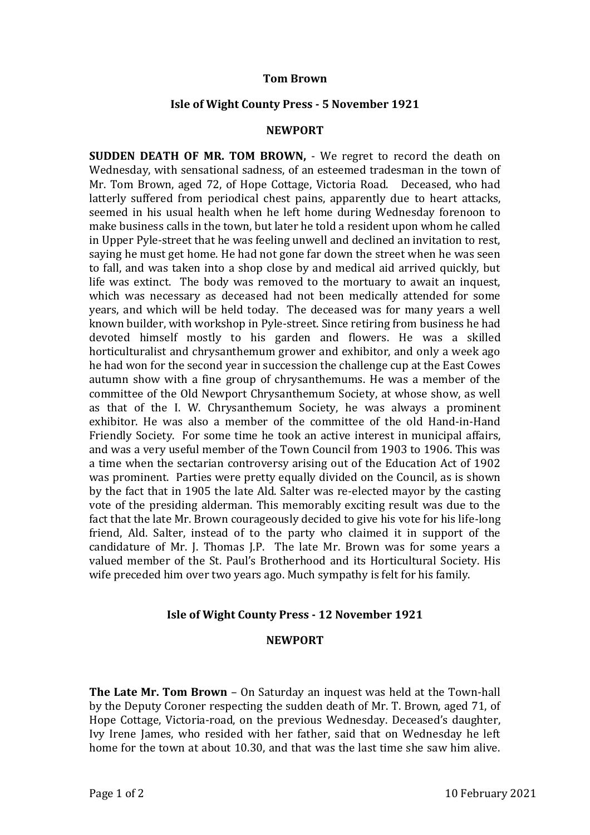## **Tom Brown**

## **Isle of Wight County Press - 5 November 1921**

## **NEWPORT**

**SUDDEN DEATH OF MR. TOM BROWN,** - We regret to record the death on Wednesday, with sensational sadness, of an esteemed tradesman in the town of Mr. Tom Brown, aged 72, of Hope Cottage, Victoria Road. Deceased, who had latterly suffered from periodical chest pains, apparently due to heart attacks, seemed in his usual health when he left home during Wednesday forenoon to make business calls in the town, but later he told a resident upon whom he called in Upper Pyle-street that he was feeling unwell and declined an invitation to rest, saying he must get home. He had not gone far down the street when he was seen to fall, and was taken into a shop close by and medical aid arrived quickly, but life was extinct. The body was removed to the mortuary to await an inquest, which was necessary as deceased had not been medically attended for some years, and which will be held today. The deceased was for many years a well known builder, with workshop in Pyle-street. Since retiring from business he had devoted himself mostly to his garden and flowers. He was a skilled horticulturalist and chrysanthemum grower and exhibitor, and only a week ago he had won for the second year in succession the challenge cup at the East Cowes autumn show with a fine group of chrysanthemums. He was a member of the committee of the Old Newport Chrysanthemum Society, at whose show, as well as that of the I. W. Chrysanthemum Society, he was always a prominent exhibitor. He was also a member of the committee of the old Hand-in-Hand Friendly Society. For some time he took an active interest in municipal affairs, and was a very useful member of the Town Council from 1903 to 1906. This was a time when the sectarian controversy arising out of the Education Act of 1902 was prominent. Parties were pretty equally divided on the Council, as is shown by the fact that in 1905 the late Ald. Salter was re-elected mayor by the casting vote of the presiding alderman. This memorably exciting result was due to the fact that the late Mr. Brown courageously decided to give his vote for his life-long friend, Ald. Salter, instead of to the party who claimed it in support of the candidature of Mr. J. Thomas J.P. The late Mr. Brown was for some years a valued member of the St. Paul's Brotherhood and its Horticultural Society. His wife preceded him over two years ago. Much sympathy is felt for his family.

# **Isle of Wight County Press - 12 November 1921**

#### **NEWPORT**

**The Late Mr. Tom Brown** – On Saturday an inquest was held at the Town-hall by the Deputy Coroner respecting the sudden death of Mr. T. Brown, aged 71, of Hope Cottage, Victoria-road, on the previous Wednesday. Deceased's daughter, Ivy Irene James, who resided with her father, said that on Wednesday he left home for the town at about 10.30, and that was the last time she saw him alive.